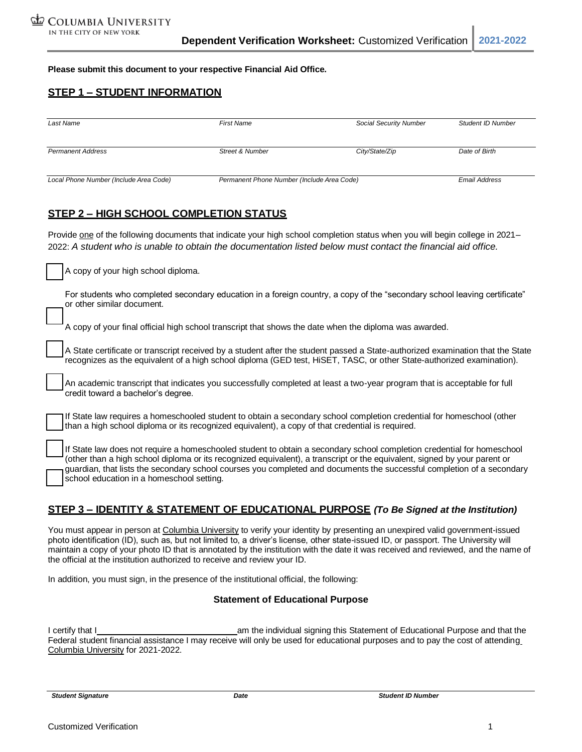**Please submit this document to your respective Financial Aid Office.**

### **STEP 1 – STUDENT INFORMATION**

| Last Name                              | <b>First Name</b>                          | Social Security Number | <b>Student ID Number</b> |
|----------------------------------------|--------------------------------------------|------------------------|--------------------------|
| <b>Permanent Address</b>               | <b>Street &amp; Number</b>                 | City/State/Zip         | Date of Birth            |
| Local Phone Number (Include Area Code) | Permanent Phone Number (Include Area Code) |                        | <b>Email Address</b>     |

## **STEP 2 – HIGH SCHOOL COMPLETION STATUS**

Provide one of the following documents that indicate your high school completion status when you will begin college in 2021-2022: *A student who is unable to obtain the documentation listed below must contact the financial aid office.*

A copy of your high school diploma.

For students who completed secondary education in a foreign country, a copy of the "secondary school leaving certificate" or other similar document.

A copy of your final official high school transcript that shows the date when the diploma was awarded.

A State certificate or transcript received by a student after the student passed a State-authorized examination that the State recognizes as the equivalent of a high school diploma (GED test, HiSET, TASC, or other State-authorized examination).

An academic transcript that indicates you successfully completed at least a two-year program that is acceptable for full credit toward a bachelor's degree.

If State law requires a homeschooled student to obtain a secondary school completion credential for homeschool (other than a high school diploma or its recognized equivalent), a copy of that credential is required.

If State law does not require a homeschooled student to obtain a secondary school completion credential for homeschool (other than a high school diploma or its recognized equivalent), a transcript or the equivalent, signed by your parent or guardian, that lists the secondary school courses you completed and documents the successful completion of a secondary school education in a homeschool setting.

#### **STEP 3 – IDENTITY & STATEMENT OF EDUCATIONAL PURPOSE** *(To Be Signed at the Institution)*

You must appear in person at Columbia University to verify your identity by presenting an unexpired valid government-issued photo identification (ID), such as, but not limited to, a driver's license, other state-issued ID, or passport. The University will maintain a copy of your photo ID that is annotated by the institution with the date it was received and reviewed, and the name of the official at the institution authorized to receive and review your ID.

In addition, you must sign, in the presence of the institutional official, the following:

#### **Statement of Educational Purpose**

I certify that I am the individual signing this Statement of Educational Purpose and that the Federal student financial assistance I may receive will only be used for educational purposes and to pay the cost of attending Columbia University for 2021-2022.

*Student Signature Date Student ID Number*